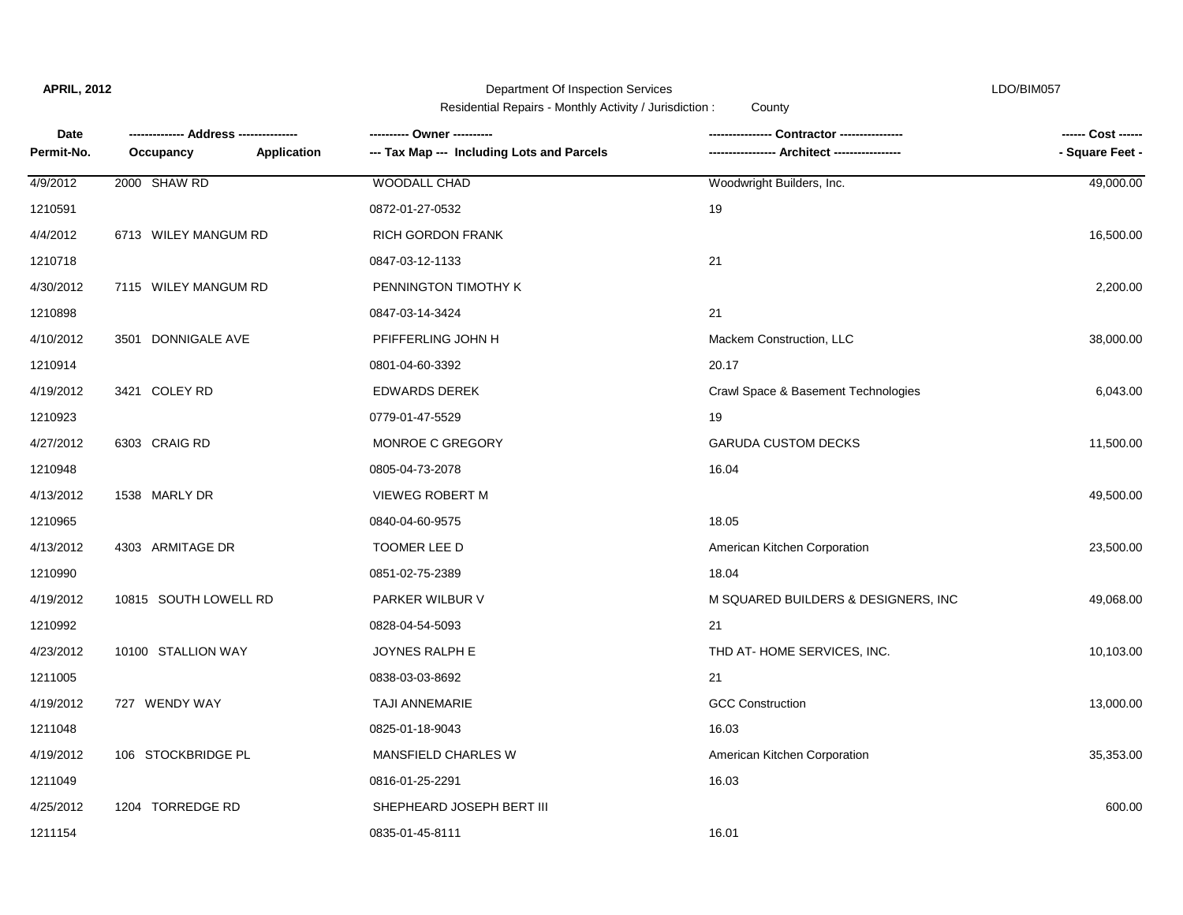**APRIL, 2012**

Department Of Inspection Services LDO/BIM057

Residential Repairs - Monthly Activity / Jurisdiction : County

| <b>Date</b><br>Permit-No. |                          | ---------- Owner ----------                | -- Architect ------------            | ------ Cost ------<br>- Square Feet - |
|---------------------------|--------------------------|--------------------------------------------|--------------------------------------|---------------------------------------|
|                           | Application<br>Occupancy | --- Tax Map --- Including Lots and Parcels |                                      |                                       |
| 4/9/2012                  | 2000 SHAW RD             | <b>WOODALL CHAD</b>                        | Woodwright Builders, Inc.            | 49,000.00                             |
| 1210591                   |                          | 0872-01-27-0532                            | 19                                   |                                       |
| 4/4/2012                  | 6713 WILEY MANGUM RD     | <b>RICH GORDON FRANK</b>                   |                                      | 16,500.00                             |
| 1210718                   |                          | 0847-03-12-1133                            | 21                                   |                                       |
| 4/30/2012                 | 7115 WILEY MANGUM RD     | PENNINGTON TIMOTHY K                       |                                      | 2,200.00                              |
| 1210898                   |                          | 0847-03-14-3424                            | 21                                   |                                       |
| 4/10/2012                 | 3501 DONNIGALE AVE       | PFIFFERLING JOHN H                         | Mackem Construction, LLC             | 38,000.00                             |
| 1210914                   |                          | 0801-04-60-3392                            | 20.17                                |                                       |
| 4/19/2012                 | 3421 COLEY RD            | <b>EDWARDS DEREK</b>                       | Crawl Space & Basement Technologies  | 6,043.00                              |
| 1210923                   |                          | 0779-01-47-5529                            | 19                                   |                                       |
| 4/27/2012                 | 6303 CRAIG RD            | MONROE C GREGORY                           | <b>GARUDA CUSTOM DECKS</b>           | 11,500.00                             |
| 1210948                   |                          | 0805-04-73-2078                            | 16.04                                |                                       |
| 4/13/2012                 | 1538 MARLY DR            | <b>VIEWEG ROBERT M</b>                     |                                      | 49,500.00                             |
| 1210965                   |                          | 0840-04-60-9575                            | 18.05                                |                                       |
| 4/13/2012                 | 4303 ARMITAGE DR         | TOOMER LEE D                               | American Kitchen Corporation         | 23,500.00                             |
| 1210990                   |                          | 0851-02-75-2389                            | 18.04                                |                                       |
| 4/19/2012                 | 10815 SOUTH LOWELL RD    | PARKER WILBUR V                            | M SQUARED BUILDERS & DESIGNERS, INC. | 49,068.00                             |
| 1210992                   |                          | 0828-04-54-5093                            | 21                                   |                                       |
| 4/23/2012                 | 10100 STALLION WAY       | JOYNES RALPH E                             | THD AT-HOME SERVICES, INC.           | 10,103.00                             |
| 1211005                   |                          | 0838-03-03-8692                            | 21                                   |                                       |
| 4/19/2012                 | 727 WENDY WAY            | TAJI ANNEMARIE                             | <b>GCC Construction</b>              | 13,000.00                             |
| 1211048                   |                          | 0825-01-18-9043                            | 16.03                                |                                       |
| 4/19/2012                 | 106 STOCKBRIDGE PL       | MANSFIELD CHARLES W                        | American Kitchen Corporation         | 35,353.00                             |
| 1211049                   |                          | 0816-01-25-2291                            | 16.03                                |                                       |
| 4/25/2012                 | 1204 TORREDGE RD         | SHEPHEARD JOSEPH BERT III                  |                                      | 600.00                                |
| 1211154                   |                          | 0835-01-45-8111                            | 16.01                                |                                       |